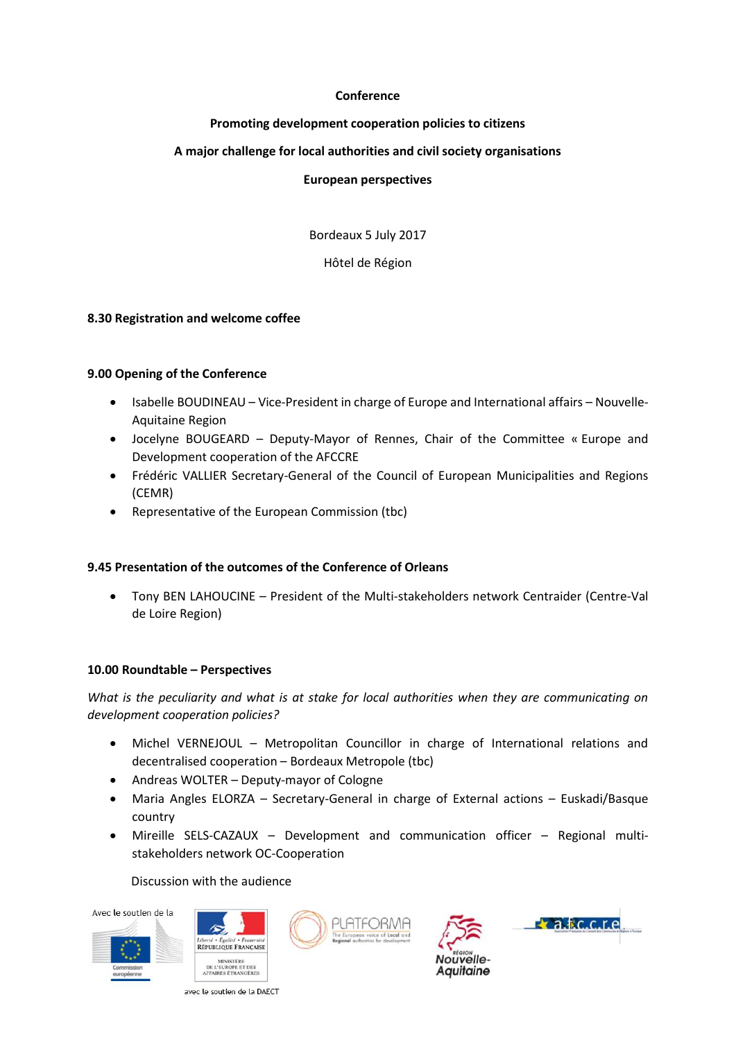## **Conference**

# **Promoting development cooperation policies to citizens**

# **A major challenge for local authorities and civil society organisations**

### **European perspectives**

Bordeaux 5 July 2017

Hôtel de Région

## **8.30 Registration and welcome coffee**

## **9.00 Opening of the Conference**

- Isabelle BOUDINEAU Vice-President in charge of Europe and International affairs Nouvelle-Aquitaine Region
- Jocelyne BOUGEARD Deputy-Mayor of Rennes, Chair of the Committee « Europe and Development cooperation of the AFCCRE
- Frédéric VALLIER Secretary-General of the Council of European Municipalities and Regions (CEMR)
- Representative of the European Commission (tbc)

# **9.45 Presentation of the outcomes of the Conference of Orleans**

• Tony BEN LAHOUCINE – President of the Multi-stakeholders network Centraider (Centre-Val de Loire Region)

### **10.00 Roundtable – Perspectives**

*What is the peculiarity and what is at stake for local authorities when they are communicating on development cooperation policies?*

- Michel VERNEJOUL Metropolitan Councillor in charge of International relations and decentralised cooperation – Bordeaux Metropole (tbc)
- Andreas WOLTER Deputy-mayor of Cologne
- Maria Angles ELORZA Secretary-General in charge of External actions Euskadi/Basque country
- Mireille SELS-CAZAUX Development and communication officer Regional multistakeholders network OC-Cooperation

### Discussion with the audience











avec le soutien de la DAECT